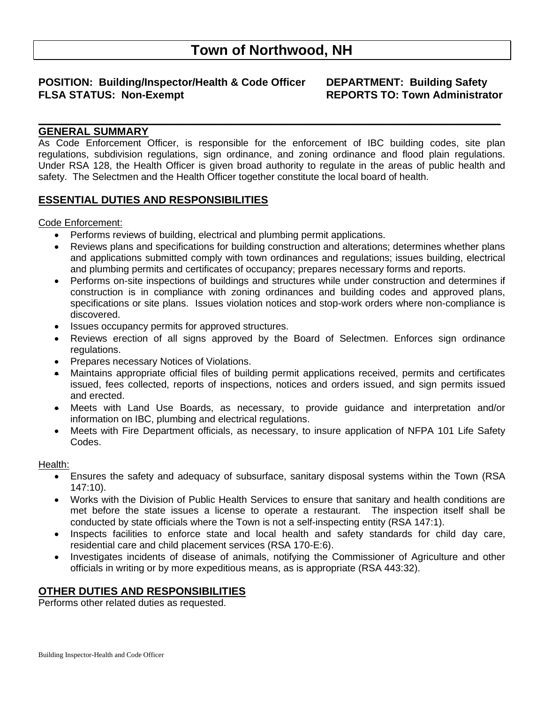# **Town of Northwood, NH**

## **POSITION: Building/Inspector/Health & Code Officer DEPARTMENT: Building Safety FLSA STATUS: Non-Exempt REPORTS TO: Town Administrator**

## **GENERAL SUMMARY**

As Code Enforcement Officer, is responsible for the enforcement of IBC building codes, site plan regulations, subdivision regulations, sign ordinance, and zoning ordinance and flood plain regulations. Under RSA 128, the Health Officer is given broad authority to regulate in the areas of public health and safety. The Selectmen and the Health Officer together constitute the local board of health.

**\_\_\_\_\_\_\_\_\_\_\_\_\_\_\_\_\_\_\_\_\_\_\_\_\_\_\_\_\_\_\_\_\_\_\_\_\_\_\_\_\_\_\_\_\_\_\_\_\_\_\_\_\_\_\_\_\_\_\_\_\_\_\_\_\_\_\_\_\_\_\_\_\_\_\_\_\_\_**

## **ESSENTIAL DUTIES AND RESPONSIBILITIES**

#### Code Enforcement:

- Performs reviews of building, electrical and plumbing permit applications.
- Reviews plans and specifications for building construction and alterations; determines whether plans and applications submitted comply with town ordinances and regulations; issues building, electrical and plumbing permits and certificates of occupancy; prepares necessary forms and reports.
- Performs on-site inspections of buildings and structures while under construction and determines if construction is in compliance with zoning ordinances and building codes and approved plans, specifications or site plans. Issues violation notices and stop-work orders where non-compliance is discovered.
- Issues occupancy permits for approved structures.
- Reviews erection of all signs approved by the Board of Selectmen. Enforces sign ordinance regulations.
- Prepares necessary Notices of Violations.
- Maintains appropriate official files of building permit applications received, permits and certificates issued, fees collected, reports of inspections, notices and orders issued, and sign permits issued and erected.
- Meets with Land Use Boards, as necessary, to provide guidance and interpretation and/or information on IBC, plumbing and electrical regulations.
- Meets with Fire Department officials, as necessary, to insure application of NFPA 101 Life Safety Codes.

#### Health:

- Ensures the safety and adequacy of subsurface, sanitary disposal systems within the Town (RSA 147:10).
- Works with the Division of Public Health Services to ensure that sanitary and health conditions are met before the state issues a license to operate a restaurant. The inspection itself shall be conducted by state officials where the Town is not a self-inspecting entity (RSA 147:1).
- Inspects facilities to enforce state and local health and safety standards for child day care, residential care and child placement services (RSA 170-E:6).
- Investigates incidents of disease of animals, notifying the Commissioner of Agriculture and other officials in writing or by more expeditious means, as is appropriate (RSA 443:32).

## **OTHER DUTIES AND RESPONSIBILITIES**

Performs other related duties as requested.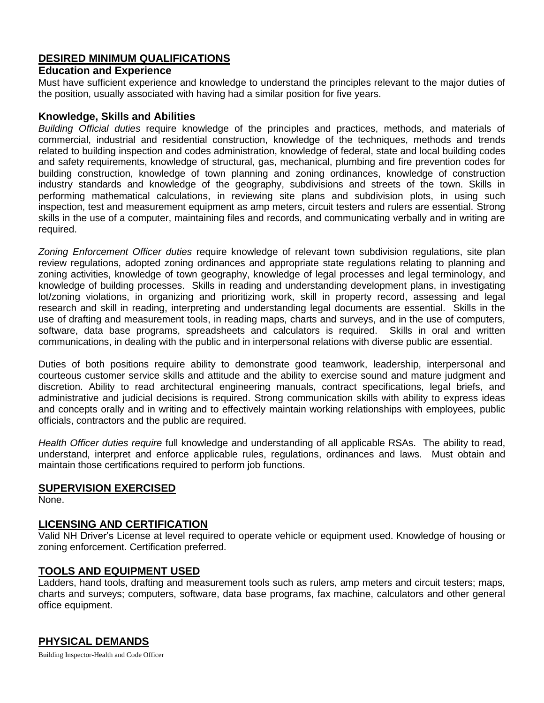## **DESIRED MINIMUM QUALIFICATIONS**

## **Education and Experience**

Must have sufficient experience and knowledge to understand the principles relevant to the major duties of the position, usually associated with having had a similar position for five years.

#### **Knowledge, Skills and Abilities**

*Building Official duties* require knowledge of the principles and practices, methods, and materials of commercial, industrial and residential construction, knowledge of the techniques, methods and trends related to building inspection and codes administration, knowledge of federal, state and local building codes and safety requirements, knowledge of structural, gas, mechanical, plumbing and fire prevention codes for building construction, knowledge of town planning and zoning ordinances, knowledge of construction industry standards and knowledge of the geography, subdivisions and streets of the town. Skills in performing mathematical calculations, in reviewing site plans and subdivision plots, in using such inspection, test and measurement equipment as amp meters, circuit testers and rulers are essential. Strong skills in the use of a computer, maintaining files and records, and communicating verbally and in writing are required.

*Zoning Enforcement Officer duties* require knowledge of relevant town subdivision regulations, site plan review regulations, adopted zoning ordinances and appropriate state regulations relating to planning and zoning activities, knowledge of town geography, knowledge of legal processes and legal terminology, and knowledge of building processes. Skills in reading and understanding development plans, in investigating lot/zoning violations, in organizing and prioritizing work, skill in property record, assessing and legal research and skill in reading, interpreting and understanding legal documents are essential. Skills in the use of drafting and measurement tools, in reading maps, charts and surveys, and in the use of computers, software, data base programs, spreadsheets and calculators is required. Skills in oral and written communications, in dealing with the public and in interpersonal relations with diverse public are essential.

Duties of both positions require ability to demonstrate good teamwork, leadership, interpersonal and courteous customer service skills and attitude and the ability to exercise sound and mature judgment and discretion. Ability to read architectural engineering manuals, contract specifications, legal briefs, and administrative and judicial decisions is required. Strong communication skills with ability to express ideas and concepts orally and in writing and to effectively maintain working relationships with employees, public officials, contractors and the public are required.

*Health Officer duties require* full knowledge and understanding of all applicable RSAs. The ability to read, understand, interpret and enforce applicable rules, regulations, ordinances and laws. Must obtain and maintain those certifications required to perform job functions.

## **SUPERVISION EXERCISED**

None.

## **LICENSING AND CERTIFICATION**

Valid NH Driver's License at level required to operate vehicle or equipment used. Knowledge of housing or zoning enforcement. Certification preferred.

## **TOOLS AND EQUIPMENT USED**

Ladders, hand tools, drafting and measurement tools such as rulers, amp meters and circuit testers; maps, charts and surveys; computers, software, data base programs, fax machine, calculators and other general office equipment.

## **PHYSICAL DEMANDS**

Building Inspector-Health and Code Officer